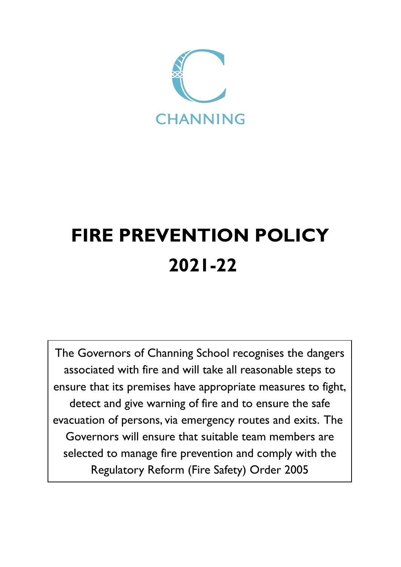

# **FIRE PREVENTION POLICY 2021-22**

The Governors of Channing School recognises the dangers associated with fire and will take all reasonable steps to ensure that its premises have appropriate measures to fight, detect and give warning of fire and to ensure the safe evacuation of persons, via emergency routes and exits. The Governors will ensure that suitable team members are selected to manage fire prevention and comply with the Regulatory Reform (Fire Safety) Order 2005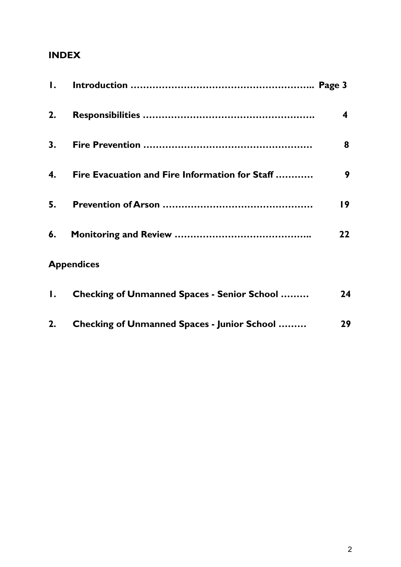## **INDEX**

| Ι. |                                                     |                         |
|----|-----------------------------------------------------|-------------------------|
| 2. |                                                     | $\overline{\mathbf{4}}$ |
| 3. |                                                     | 8                       |
| 4. | Fire Evacuation and Fire Information for Staff      | 9                       |
| 5. |                                                     | 19                      |
| 6. |                                                     | 22                      |
|    | <b>Appendices</b>                                   |                         |
| Ι. | Checking of Unmanned Spaces - Senior School         | 24                      |
| 2. | <b>Checking of Unmanned Spaces - Junior School </b> | 29                      |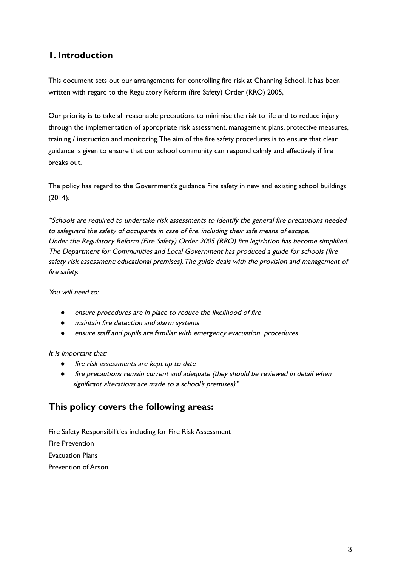## **1. Introduction**

This document sets out our arrangements for controlling fire risk at Channing School. It has been written with regard to the Regulatory Reform (fire Safety) Order (RRO) 2005,

Our priority is to take all reasonable precautions to minimise the risk to life and to reduce injury through the implementation of appropriate risk assessment, management plans, protective measures, training / instruction and monitoring.The aim of the fire safety procedures is to ensure that clear guidance is given to ensure that our school community can respond calmly and effectively if fire breaks out.

The policy has regard to the Government's guidance Fire safety in new and existing school buildings (2014):

"Schools are required to undertake risk assessments to identify the general fire precautions needed to safeguard the safety of occupants in case of fire, including their safe means of escape. Under the Regulatory Reform (Fire Safety) Order 2005 (RRO) fire legislation has become simplified. The Department for Communities and Local Government has produced <sup>a</sup> guide for schools (fire safety risk assessment: educational premises). The guide deals with the provision and management of fire safety.

You will need to:

- *●* ensure procedures are in place to reduce the likelihood of fire
- *●* maintain fire detection and alarm systems
- *●* ensure staff and pupils are familiar with emergency evacuation procedures

It is important that:

- *●* fire risk assessments are kept up to date
- *●* fire precautions remain current and adequate (they should be reviewed in detail when significant alterations are made to <sup>a</sup> school's premises)"

## **This policy covers the following areas:**

Fire Safety Responsibilities including for Fire Risk Assessment Fire Prevention Evacuation Plans Prevention of Arson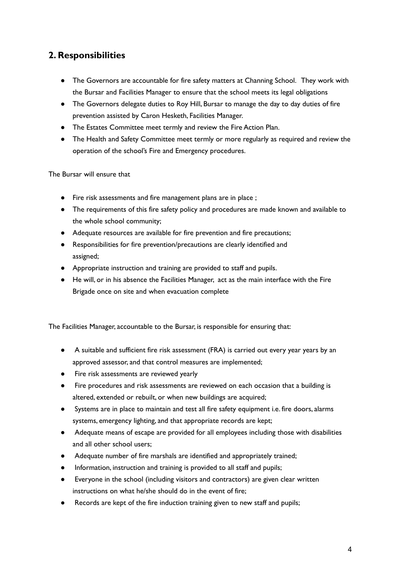## **2. Responsibilities**

- The Governors are accountable for fire safety matters at Channing School. They work with the Bursar and Facilities Manager to ensure that the school meets its legal obligations
- The Governors delegate duties to Roy Hill, Bursar to manage the day to day duties of fire prevention assisted by Caron Hesketh, Facilities Manager.
- The Estates Committee meet termly and review the Fire Action Plan.
- The Health and Safety Committee meet termly or more regularly as required and review the operation of the school's Fire and Emergency procedures.

The Bursar will ensure that

- Fire risk assessments and fire management plans are in place ;
- The requirements of this fire safety policy and procedures are made known and available to the whole school community;
- Adequate resources are available for fire prevention and fire precautions;
- Responsibilities for fire prevention/precautions are clearly identified and assigned;
- Appropriate instruction and training are provided to staff and pupils.
- He will, or in his absence the Facilities Manager, act as the main interface with the Fire Brigade once on site and when evacuation complete

The Facilities Manager, accountable to the Bursar, is responsible for ensuring that:

- A suitable and sufficient fire risk assessment (FRA) is carried out every year years by an approved assessor, and that control measures are implemented;
- Fire risk assessments are reviewed yearly
- Fire procedures and risk assessments are reviewed on each occasion that a building is altered, extended or rebuilt, or when new buildings are acquired;
- Systems are in place to maintain and test all fire safety equipment i.e. fire doors, alarms systems, emergency lighting, and that appropriate records are kept;
- Adequate means of escape are provided for all employees including those with disabilities and all other school users;
- Adequate number of fire marshals are identified and appropriately trained;
- Information, instruction and training is provided to all staff and pupils;
- Everyone in the school (including visitors and contractors) are given clear written instructions on what he/she should do in the event of fire;
- Records are kept of the fire induction training given to new staff and pupils;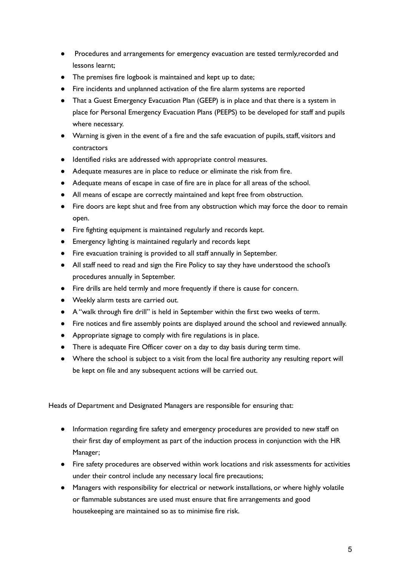- Procedures and arrangements for emergency evacuation are tested termly,recorded and lessons learnt;
- The premises fire logbook is maintained and kept up to date;
- Fire incidents and unplanned activation of the fire alarm systems are reported
- That a Guest Emergency Evacuation Plan (GEEP) is in place and that there is a system in place for Personal Emergency Evacuation Plans (PEEPS) to be developed for staff and pupils where necessary.
- Warning is given in the event of a fire and the safe evacuation of pupils, staff, visitors and contractors
- Identified risks are addressed with appropriate control measures.
- Adequate measures are in place to reduce or eliminate the risk from fire.
- Adequate means of escape in case of fire are in place for all areas of the school.
- All means of escape are correctly maintained and kept free from obstruction.
- Fire doors are kept shut and free from any obstruction which may force the door to remain open.
- Fire fighting equipment is maintained regularly and records kept.
- Emergency lighting is maintained regularly and records kept
- Fire evacuation training is provided to all staff annually in September.
- All staff need to read and sign the Fire Policy to say they have understood the school's procedures annually in September.
- Fire drills are held termly and more frequently if there is cause for concern.
- Weekly alarm tests are carried out.
- A "walk through fire drill" is held in September within the first two weeks of term.
- Fire notices and fire assembly points are displayed around the school and reviewed annually.
- Appropriate signage to comply with fire regulations is in place.
- There is adequate Fire Officer cover on a day to day basis during term time.
- Where the school is subject to a visit from the local fire authority any resulting report will be kept on file and any subsequent actions will be carried out.

Heads of Department and Designated Managers are responsible for ensuring that:

- Information regarding fire safety and emergency procedures are provided to new staff on their first day of employment as part of the induction process in conjunction with the HR Manager;
- Fire safety procedures are observed within work locations and risk assessments for activities under their control include any necessary local fire precautions;
- Managers with responsibility for electrical or network installations, or where highly volatile or flammable substances are used must ensure that fire arrangements and good housekeeping are maintained so as to minimise fire risk.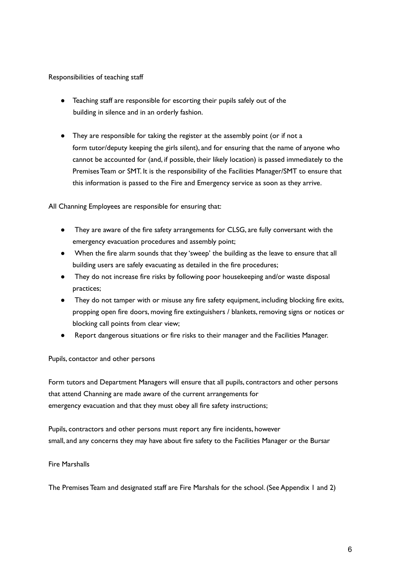#### Responsibilities of teaching staff

- Teaching staff are responsible for escorting their pupils safely out of the building in silence and in an orderly fashion.
- They are responsible for taking the register at the assembly point (or if not a form tutor/deputy keeping the girls silent), and for ensuring that the name of anyone who cannot be accounted for (and, if possible, their likely location) is passed immediately to the Premises Team or SMT. It is the responsibility of the Facilities Manager/SMT to ensure that this information is passed to the Fire and Emergency service as soon as they arrive.

All Channing Employees are responsible for ensuring that:

- They are aware of the fire safety arrangements for CLSG, are fully conversant with the emergency evacuation procedures and assembly point;
- When the fire alarm sounds that they 'sweep' the building as the leave to ensure that all building users are safely evacuating as detailed in the fire procedures;
- They do not increase fire risks by following poor housekeeping and/or waste disposal practices;
- They do not tamper with or misuse any fire safety equipment, including blocking fire exits, propping open fire doors, moving fire extinguishers / blankets, removing signs or notices or blocking call points from clear view;
- Report dangerous situations or fire risks to their manager and the Facilities Manager.

Pupils, contactor and other persons

Form tutors and Department Managers will ensure that all pupils, contractors and other persons that attend Channing are made aware of the current arrangements for emergency evacuation and that they must obey all fire safety instructions;

Pupils, contractors and other persons must report any fire incidents, however small, and any concerns they may have about fire safety to the Facilities Manager or the Bursar

#### Fire Marshalls

The Premises Team and designated staff are Fire Marshals for the school. (See Appendix 1 and 2)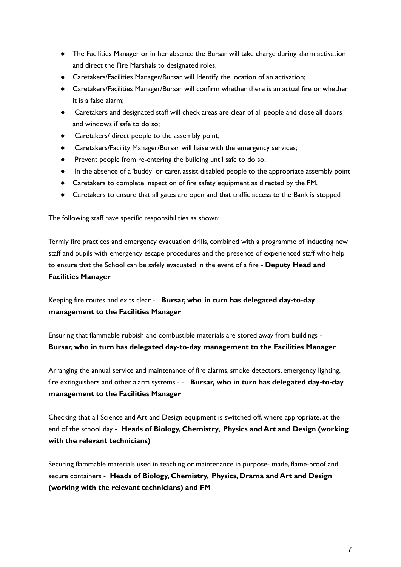- The Facilities Manager or in her absence the Bursar will take charge during alarm activation and direct the Fire Marshals to designated roles.
- Caretakers/Facilities Manager/Bursar will Identify the location of an activation;
- Caretakers/Facilities Manager/Bursar will confirm whether there is an actual fire or whether it is a false alarm;
- Caretakers and designated staff will check areas are clear of all people and close all doors and windows if safe to do so;
- Caretakers/ direct people to the assembly point;
- Caretakers/Facility Manager/Bursar will liaise with the emergency services;
- Prevent people from re-entering the building until safe to do so;
- In the absence of a 'buddy' or carer, assist disabled people to the appropriate assembly point
- Caretakers to complete inspection of fire safety equipment as directed by the FM.
- Caretakers to ensure that all gates are open and that traffic access to the Bank is stopped

The following staff have specific responsibilities as shown:

Termly fire practices and emergency evacuation drills, combined with a programme of inducting new staff and pupils with emergency escape procedures and the presence of experienced staff who help to ensure that the School can be safely evacuated in the event of a fire - **Deputy Head and Facilities Manager**

Keeping fire routes and exits clear - **Bursar, who in turn has delegated day-to-day management to the Facilities Manager**

Ensuring that flammable rubbish and combustible materials are stored away from buildings - **Bursar, who in turn has delegated day-to-day management to the Facilities Manager**

Arranging the annual service and maintenance of fire alarms, smoke detectors, emergency lighting, fire extinguishers and other alarm systems - - **Bursar, who in turn has delegated day-to-day management to the Facilities Manager**

Checking that all Science and Art and Design equipment is switched off, where appropriate, at the end of the school day - **Heads of Biology, Chemistry, Physics and Art and Design (working with the relevant technicians)**

Securing flammable materials used in teaching or maintenance in purpose- made, flame-proof and secure containers - **Heads of Biology, Chemistry, Physics, Drama and Art and Design (working with the relevant technicians) and FM**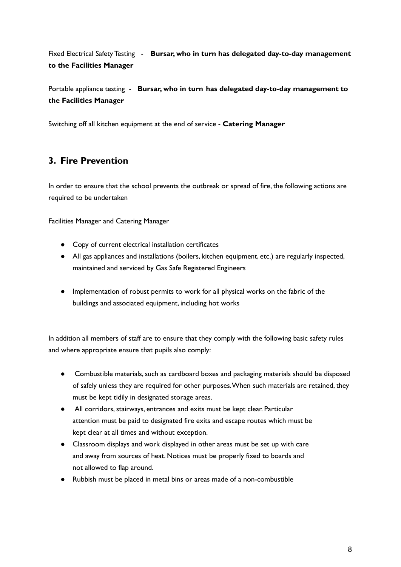## Fixed Electrical Safety Testing - **Bursar, who in turn has delegated day-to-day management to the Facilities Manager**

Portable appliance testing - **Bursar, who in turn has delegated day-to-day management to the Facilities Manager**

Switching off all kitchen equipment at the end of service - **Catering Manager**

## **3. Fire Prevention**

In order to ensure that the school prevents the outbreak or spread of fire, the following actions are required to be undertaken

Facilities Manager and Catering Manager

- Copy of current electrical installation certificates
- All gas appliances and installations (boilers, kitchen equipment, etc.) are regularly inspected, maintained and serviced by Gas Safe Registered Engineers
- Implementation of robust permits to work for all physical works on the fabric of the buildings and associated equipment, including hot works

In addition all members of staff are to ensure that they comply with the following basic safety rules and where appropriate ensure that pupils also comply:

- Combustible materials,such as cardboard boxes and packaging materials should be disposed of safely unless they are required for other purposes.When such materials are retained, they must be kept tidily in designated storage areas.
- All corridors, stairways, entrances and exits must be kept clear. Particular attention must be paid to designated fire exits and escape routes which must be kept clear at all times and without exception.
- Classroom displays and work displayed in other areas must be set up with care and away from sources of heat. Notices must be properly fixed to boards and not allowed to flap around.
- Rubbish must be placed in metal bins or areas made of a non-combustible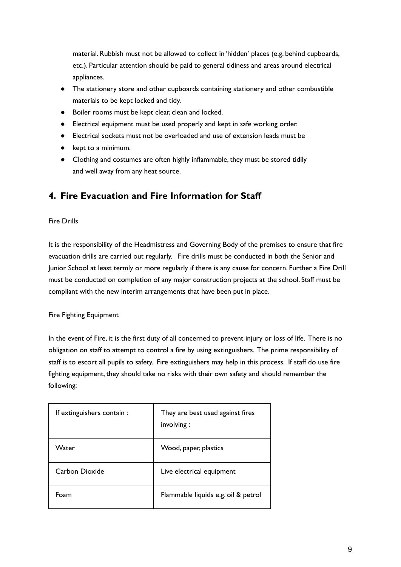material. Rubbish must not be allowed to collect in 'hidden' places (e.g. behind cupboards, etc.). Particular attention should be paid to general tidiness and areas around electrical appliances.

- The stationery store and other cupboards containing stationery and other combustible materials to be kept locked and tidy.
- Boiler rooms must be kept clear, clean and locked.
- Electrical equipment must be used properly and kept in safe working order.
- Electrical sockets must not be overloaded and use of extension leads must be
- kept to a minimum.
- Clothing and costumes are often highly inflammable, they must be stored tidily and well away from any heat source.

## **4. Fire Evacuation and Fire Information for Staff**

## Fire Drills

It is the responsibility of the Headmistress and Governing Body of the premises to ensure that fire evacuation drills are carried out regularly. Fire drills must be conducted in both the Senior and Junior School at least termly or more regularly if there is any cause for concern. Further a Fire Drill must be conducted on completion of any major construction projects at the school. Staff must be compliant with the new interim arrangements that have been put in place.

## Fire Fighting Equipment

In the event of Fire, it is the first duty of all concerned to prevent injury or loss of life. There is no obligation on staff to attempt to control a fire by using extinguishers. The prime responsibility of staff is to escort all pupils to safety. Fire extinguishers may help in this process. If staff do use fire fighting equipment, they should take no risks with their own safety and should remember the following:

| If extinguishers contain : | They are best used against fires<br>involving: |
|----------------------------|------------------------------------------------|
| Water                      | Wood, paper, plastics                          |
| Carbon Dioxide             | Live electrical equipment                      |
| Foam                       | Flammable liquids e.g. oil & petrol            |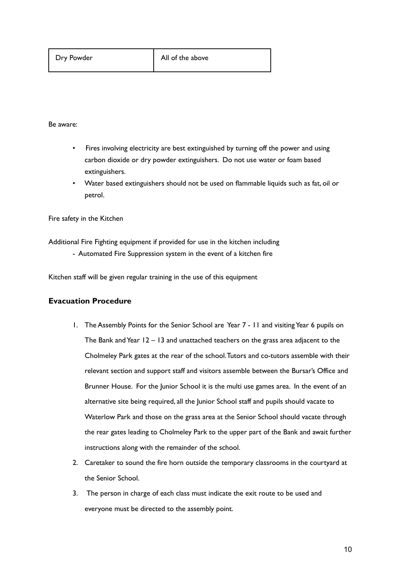Be aware:

- Fires involving electricity are best extinguished by turning off the power and using carbon dioxide or dry powder extinguishers. Do not use water or foam based extinguishers.
- Water based extinguishers should not be used on flammable liquids such as fat, oil or petrol.

Fire safety in the Kitchen

Additional Fire Fighting equipment if provided for use in the kitchen including

- Automated Fire Suppression system in the event of a kitchen fire

Kitchen staff will be given regular training in the use of this equipment

#### **Evacuation Procedure**

- 1. The Assembly Points for the Senior School are Year 7 11 and visiting Year 6 pupils on The Bank and Year  $12 - 13$  and unattached teachers on the grass area adjacent to the Cholmeley Park gates at the rear of the school.Tutors and co-tutors assemble with their relevant section and support staff and visitors assemble between the Bursar's Office and Brunner House. For the Junior School it is the multi use games area. In the event of an alternative site being required, all the Junior School staff and pupils should vacate to Waterlow Park and those on the grass area at the Senior School should vacate through the rear gates leading to Cholmeley Park to the upper part of the Bank and await further instructions along with the remainder of the school.
- 2. Caretaker to sound the fire horn outside the temporary classrooms in the courtyard at the Senior School.
- 3. The person in charge of each class must indicate the exit route to be used and everyone must be directed to the assembly point.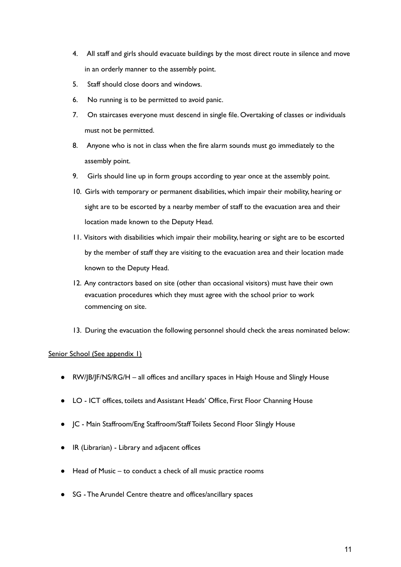- 4. All staff and girls should evacuate buildings by the most direct route in silence and move in an orderly manner to the assembly point.
- 5. Staff should close doors and windows.
- 6. No running is to be permitted to avoid panic.
- 7. On staircases everyone must descend in single file. Overtaking of classes or individuals must not be permitted.
- 8. Anyone who is not in class when the fire alarm sounds must go immediately to the assembly point.
- 9. Girls should line up in form groups according to year once at the assembly point.
- 10. Girls with temporary or permanent disabilities, which impair their mobility, hearing or sight are to be escorted by a nearby member of staff to the evacuation area and their location made known to the Deputy Head.
- 11. Visitors with disabilities which impair their mobility, hearing or sight are to be escorted by the member of staff they are visiting to the evacuation area and their location made known to the Deputy Head.
- 12. Any contractors based on site (other than occasional visitors) must have their own evacuation procedures which they must agree with the school prior to work commencing on site.
- 13. During the evacuation the following personnel should check the areas nominated below:

## Senior School (See appendix 1)

- RW/JB/JF/NS/RG/H all offices and ancillary spaces in Haigh House and Slingly House
- LO ICT offices, toilets and Assistant Heads' Office, First Floor Channing House
- JC Main Staffroom/Eng Staffroom/Staff Toilets Second Floor Slingly House
- IR (Librarian) Library and adjacent offices
- Head of Music to conduct a check of all music practice rooms
- SG The Arundel Centre theatre and offices/ancillary spaces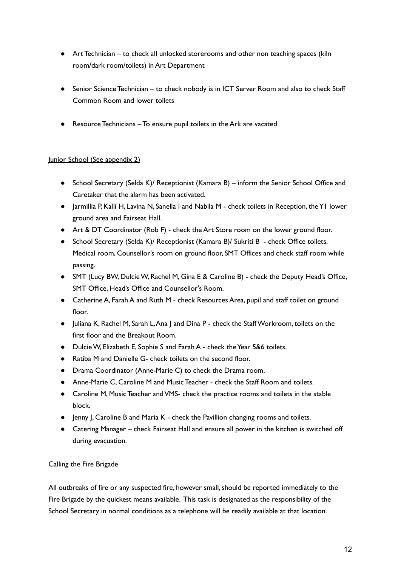- Art Technician to check all unlocked storerooms and other non teaching spaces (kiln room/dark room/toilets) in Art Department
- Senior Science Technician to check nobody is in ICT Server Room and also to check Staff Common Room and lower toilets
- Resource Technicians To ensure pupil toilets in the Ark are vacated

## Junior School (See appendix 2)

- School Secretary (Selda K)/ Receptionist (Kamara B) inform the Senior School Office and Caretaker that the alarm has been activated.
- Jarmillia P, Kalli H, Lavina N, Sanella I and Nabila M check toilets in Reception, theY1 lower ground area and Fairseat Hall.
- Art & DT Coordinator (Rob F) check the Art Store room on the lower ground floor.
- School Secretary (Selda K)/ Receptionist (Kamara B)/ Sukriti B check Office toilets, Medical room, Counsellor's room on ground floor, SMT Offices and check staff room while passing.
- SMT (Lucy BW, DulcieW, Rachel M, Gina E & Caroline B) check the Deputy Head's Office, SMT Office, Head's Office and Counsellor's Room.
- Catherine A, Farah A and Ruth M check Resources Area, pupil and staff toilet on ground floor.
- Juliana K, Rachel M, Sarah L,Ana J and Dina P check the StaffWorkroom, toilets on the first floor and the Breakout Room.
- Dulcie W, Elizabeth E, Sophie S and Farah A check the Year 5&6 toilets.
- Ratiba M and Danielle G- check toilets on the second floor.
- Drama Coordinator (Anne-Marie C) to check the Drama room.
- Anne-Marie C, Caroline M and Music Teacher check the Staff Room and toilets.
- Caroline M, Music Teacher andVMS- check the practice rooms and toilets in the stable block.
- Jenny J, Caroline B and Maria K check the Pavillion changing rooms and toilets.
- Catering Manager check Fairseat Hall and ensure all power in the kitchen is switched off during evacuation.

## Calling the Fire Brigade

All outbreaks of fire or any suspected fire, however small, should be reported immediately to the Fire Brigade by the quickest means available. This task is designated as the responsibility of the School Secretary in normal conditions as a telephone will be readily available at that location.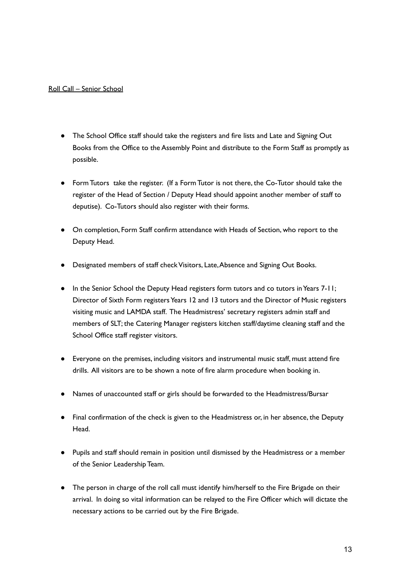#### Roll Call – Senior School

- The School Office staff should take the registers and fire lists and Late and Signing Out Books from the Office to the Assembly Point and distribute to the Form Staff as promptly as possible.
- FormTutors take the register. (If a FormTutor is not there, the Co-Tutor should take the register of the Head of Section / Deputy Head should appoint another member of staff to deputise). Co-Tutors should also register with their forms.
- On completion, Form Staff confirm attendance with Heads of Section, who report to the Deputy Head.
- Designated members of staff checkVisitors, Late,Absence and Signing Out Books.
- In the Senior School the Deputy Head registers form tutors and co tutors in Years 7-11; Director of Sixth Form registers Years 12 and 13 tutors and the Director of Music registers visiting music and LAMDA staff. The Headmistress' secretary registers admin staff and members of SLT; the Catering Manager registers kitchen staff/daytime cleaning staff and the School Office staff register visitors.
- Everyone on the premises, including visitors and instrumental music staff, must attend fire drills. All visitors are to be shown a note of fire alarm procedure when booking in.
- Names of unaccounted staff or girls should be forwarded to the Headmistress/Bursar
- Final confirmation of the check is given to the Headmistress or, in her absence, the Deputy Head.
- Pupils and staff should remain in position until dismissed by the Headmistress or a member of the Senior Leadership Team.
- The person in charge of the roll call must identify him/herself to the Fire Brigade on their arrival. In doing so vital information can be relayed to the Fire Officer which will dictate the necessary actions to be carried out by the Fire Brigade.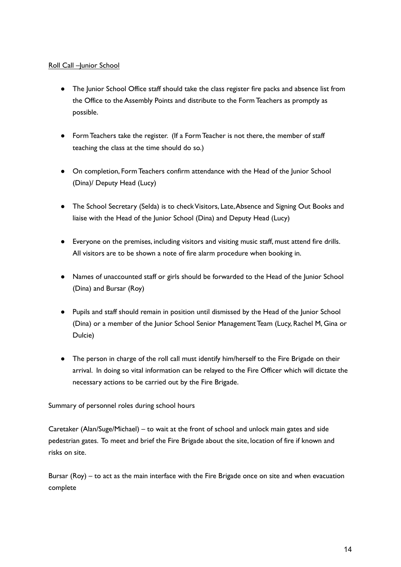## Roll Call –Junior School

- The Junior School Office staff should take the class register fire packs and absence list from the Office to the Assembly Points and distribute to the FormTeachers as promptly as possible.
- Form Teachers take the register. (If a Form Teacher is not there, the member of staff teaching the class at the time should do so.)
- On completion, FormTeachers confirm attendance with the Head of the Junior School (Dina)/ Deputy Head (Lucy)
- The School Secretary (Selda) is to checkVisitors, Late,Absence and Signing Out Books and liaise with the Head of the Junior School (Dina) and Deputy Head (Lucy)
- Everyone on the premises, including visitors and visiting music staff, must attend fire drills. All visitors are to be shown a note of fire alarm procedure when booking in.
- Names of unaccounted staff or girls should be forwarded to the Head of the Junior School (Dina) and Bursar (Roy)
- Pupils and staff should remain in position until dismissed by the Head of the Junior School (Dina) or a member of the Junior School Senior Management Team (Lucy, Rachel M, Gina or Dulcie)
- The person in charge of the roll call must identify him/herself to the Fire Brigade on their arrival. In doing so vital information can be relayed to the Fire Officer which will dictate the necessary actions to be carried out by the Fire Brigade.

Summary of personnel roles during school hours

Caretaker (Alan/Suge/Michael) – to wait at the front of school and unlock main gates and side pedestrian gates. To meet and brief the Fire Brigade about the site, location of fire if known and risks on site.

Bursar (Roy) – to act as the main interface with the Fire Brigade once on site and when evacuation complete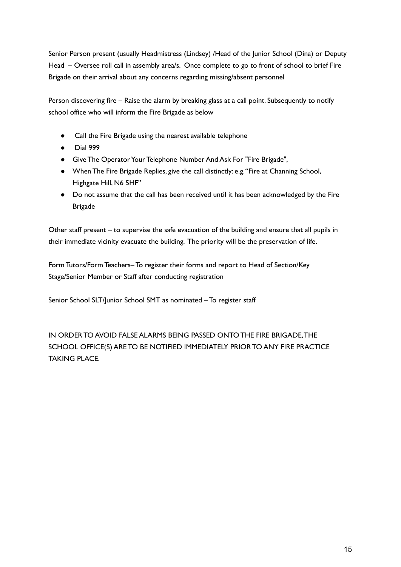Senior Person present (usually Headmistress (Lindsey) /Head of the Junior School (Dina) or Deputy Head – Oversee roll call in assembly area/s. Once complete to go to front of school to brief Fire Brigade on their arrival about any concerns regarding missing/absent personnel

Person discovering fire – Raise the alarm by breaking glass at a call point. Subsequently to notify school office who will inform the Fire Brigade as below

- Call the Fire Brigade using the nearest available telephone
- Dial 999
- Give The Operator Your Telephone Number And Ask For "Fire Brigade",
- When The Fire Brigade Replies, give the call distinctly: e.g."Fire at Channing School, Highgate Hill, N6 5HF"
- Do not assume that the call has been received until it has been acknowledged by the Fire Brigade

Other staff present – to supervise the safe evacuation of the building and ensure that all pupils in their immediate vicinity evacuate the building. The priority will be the preservation of life.

FormTutors/FormTeachers– To register their forms and report to Head of Section/Key Stage/Senior Member or Staff after conducting registration

Senior School SLT/Junior School SMT as nominated – To register staff

IN ORDER TO AVOID FALSE ALARMS BEING PASSED ONTO THE FIRE BRIGADE,THE SCHOOL OFFICE(S) ARE TO BE NOTIFIED IMMEDIATELY PRIOR TO ANY FIRE PRACTICE TAKING PLACE.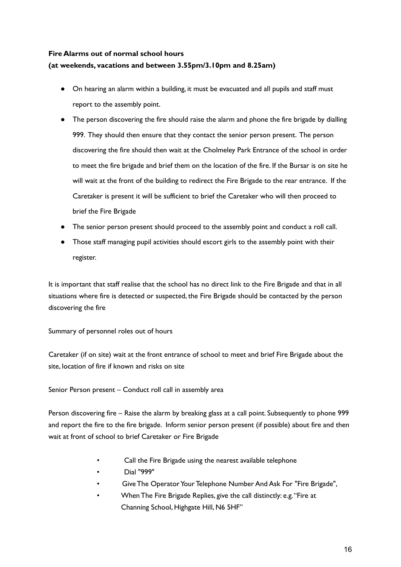## **Fire Alarms out of normal school hours (at weekends, vacations and between 3.55pm/3.10pm and 8.25am)**

- On hearing an alarm within a building, it must be evacuated and all pupils and staff must report to the assembly point.
- The person discovering the fire should raise the alarm and phone the fire brigade by dialling 999. They should then ensure that they contact the senior person present. The person discovering the fire should then wait at the Cholmeley Park Entrance of the school in order to meet the fire brigade and brief them on the location of the fire. If the Bursar is on site he will wait at the front of the building to redirect the Fire Brigade to the rear entrance. If the Caretaker is present it will be sufficient to brief the Caretaker who will then proceed to brief the Fire Brigade
- The senior person present should proceed to the assembly point and conduct a roll call.
- Those staff managing pupil activities should escort girls to the assembly point with their register.

It is important that staff realise that the school has no direct link to the Fire Brigade and that in all situations where fire is detected or suspected, the Fire Brigade should be contacted by the person discovering the fire

Summary of personnel roles out of hours

Caretaker (if on site) wait at the front entrance of school to meet and brief Fire Brigade about the site, location of fire if known and risks on site

Senior Person present – Conduct roll call in assembly area

Person discovering fire – Raise the alarm by breaking glass at a call point. Subsequently to phone 999 and report the fire to the fire brigade. Inform senior person present (if possible) about fire and then wait at front of school to brief Caretaker or Fire Brigade

- Call the Fire Brigade using the nearest available telephone
- Dial "999"
- Give The Operator Your Telephone Number And Ask For "Fire Brigade",
- When The Fire Brigade Replies, give the call distinctly: e.g."Fire at Channing School, Highgate Hill, N6 5HF"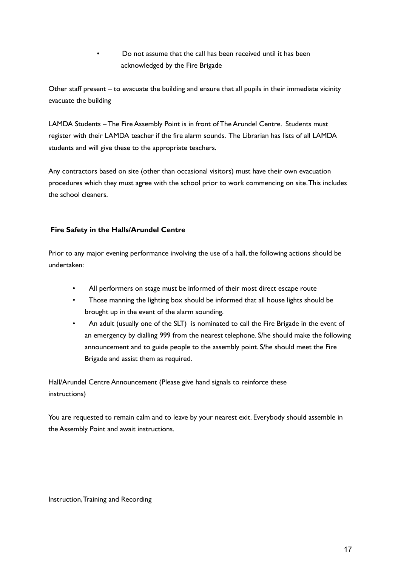• Do not assume that the call has been received until it has been acknowledged by the Fire Brigade

Other staff present – to evacuate the building and ensure that all pupils in their immediate vicinity evacuate the building

LAMDA Students – The Fire Assembly Point is in front of The Arundel Centre. Students must register with their LAMDA teacher if the fire alarm sounds. The Librarian has lists of all LAMDA students and will give these to the appropriate teachers.

Any contractors based on site (other than occasional visitors) must have their own evacuation procedures which they must agree with the school prior to work commencing on site.This includes the school cleaners.

## **Fire Safety in the Halls/Arundel Centre**

Prior to any major evening performance involving the use of a hall, the following actions should be undertaken:

- All performers on stage must be informed of their most direct escape route
- Those manning the lighting box should be informed that all house lights should be brought up in the event of the alarm sounding.
- An adult (usually one of the SLT) is nominated to call the Fire Brigade in the event of an emergency by dialling 999 from the nearest telephone. S/he should make the following announcement and to guide people to the assembly point. S/he should meet the Fire Brigade and assist them as required.

Hall/Arundel Centre Announcement (Please give hand signals to reinforce these instructions)

You are requested to remain calm and to leave by your nearest exit. Everybody should assemble in the Assembly Point and await instructions.

Instruction,Training and Recording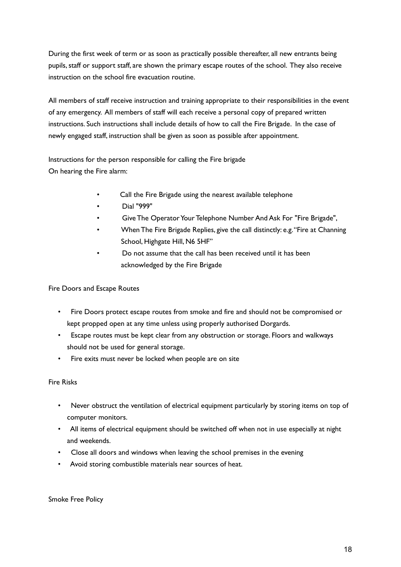During the first week of term or as soon as practically possible thereafter, all new entrants being pupils,staff or support staff, are shown the primary escape routes of the school. They also receive instruction on the school fire evacuation routine.

All members of staff receive instruction and training appropriate to their responsibilities in the event of any emergency. All members of staff will each receive a personal copy of prepared written instructions. Such instructions shall include details of how to call the Fire Brigade. In the case of newly engaged staff, instruction shall be given as soon as possible after appointment.

Instructions for the person responsible for calling the Fire brigade On hearing the Fire alarm:

- Call the Fire Brigade using the nearest available telephone
- Dial "999"
- Give The Operator Your Telephone Number And Ask For "Fire Brigade",
- When The Fire Brigade Replies, give the call distinctly: e.g."Fire at Channing School, Highgate Hill, N6 5HF"
- Do not assume that the call has been received until it has been acknowledged by the Fire Brigade

Fire Doors and Escape Routes

- Fire Doors protect escape routes from smoke and fire and should not be compromised or kept propped open at any time unless using properly authorised Dorgards.
- Escape routes must be kept clear from any obstruction or storage. Floors and walkways should not be used for general storage.
- Fire exits must never be locked when people are on site

## Fire Risks

- Never obstruct the ventilation of electrical equipment particularly by storing items on top of computer monitors.
- All items of electrical equipment should be switched off when not in use especially at night and weekends.
- Close all doors and windows when leaving the school premises in the evening
- Avoid storing combustible materials near sources of heat.

Smoke Free Policy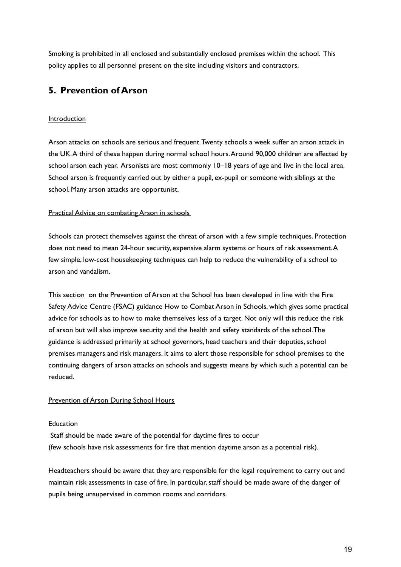Smoking is prohibited in all enclosed and substantially enclosed premises within the school. This policy applies to all personnel present on the site including visitors and contractors.

## **5. Prevention of Arson**

#### Introduction

Arson attacks on schools are serious and frequent.Twenty schools a week suffer an arson attack in the UK.A third of these happen during normal school hours.Around 90,000 children are affected by school arson each year. Arsonists are most commonly 10–18 years of age and live in the local area. School arson is frequently carried out by either a pupil, ex-pupil or someone with siblings at the school. Many arson attacks are opportunist.

#### Practical Advice on combating Arson in schools

Schools can protect themselves against the threat of arson with a few simple techniques. Protection does not need to mean 24-hour security, expensive alarm systems or hours of risk assessment.A few simple, low-cost housekeeping techniques can help to reduce the vulnerability of a school to arson and vandalism.

This section on the Prevention of Arson at the School has been developed in line with the Fire Safety Advice Centre (FSAC) guidance How to Combat Arson in Schools, which gives some practical advice for schools as to how to make themselves less of a target. Not only will this reduce the risk of arson but will also improve security and the health and safety standards of the school.The guidance is addressed primarily at school governors, head teachers and their deputies, school premises managers and risk managers. It aims to alert those responsible for school premises to the continuing dangers of arson attacks on schools and suggests means by which such a potential can be reduced.

#### Prevention of Arson During School Hours

#### **Education**

Staff should be made aware of the potential for daytime fires to occur (few schools have risk assessments for fire that mention daytime arson as a potential risk).

Headteachers should be aware that they are responsible for the legal requirement to carry out and maintain risk assessments in case of fire. In particular, staff should be made aware of the danger of pupils being unsupervised in common rooms and corridors.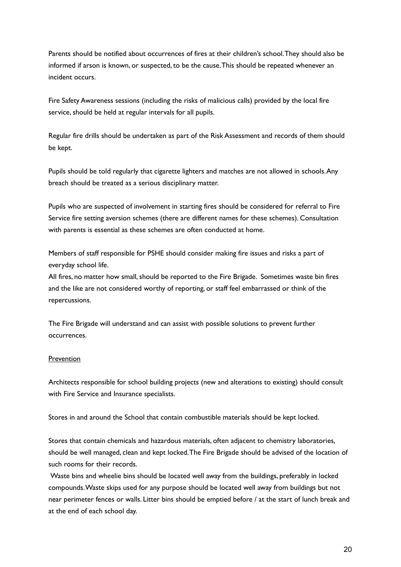Parents should be notified about occurrences of fires at their children's school.They should also be informed if arson is known, or suspected, to be the cause.This should be repeated whenever an incident occurs.

Fire Safety Awareness sessions (including the risks of malicious calls) provided by the local fire service, should be held at regular intervals for all pupils.

Regular fire drills should be undertaken as part of the Risk Assessment and records of them should be kept.

Pupils should be told regularly that cigarette lighters and matches are not allowed in schools.Any breach should be treated as a serious disciplinary matter.

Pupils who are suspected of involvement in starting fires should be considered for referral to Fire Service fire setting aversion schemes (there are different names for these schemes). Consultation with parents is essential as these schemes are often conducted at home.

Members of staff responsible for PSHE should consider making fire issues and risks a part of everyday school life.

All fires, no matter how small, should be reported to the Fire Brigade. Sometimes waste bin fires and the like are not considered worthy of reporting, or staff feel embarrassed or think of the repercussions.

The Fire Brigade will understand and can assist with possible solutions to prevent further occurrences.

## Prevention

Architects responsible for school building projects (new and alterations to existing) should consult with Fire Service and Insurance specialists.

Stores in and around the School that contain combustible materials should be kept locked.

Stores that contain chemicals and hazardous materials, often adjacent to chemistry laboratories, should be well managed, clean and kept locked.The Fire Brigade should be advised of the location of such rooms for their records.

Waste bins and wheelie bins should be located well away from the buildings, preferably in locked compounds.Waste skips used for any purpose should be located well away from buildings but not near perimeter fences or walls. Litter bins should be emptied before / at the start of lunch break and at the end of each school day.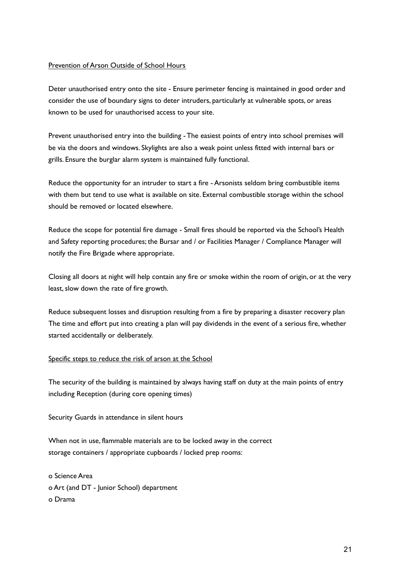#### Prevention of Arson Outside of School Hours

Deter unauthorised entry onto the site - Ensure perimeter fencing is maintained in good order and consider the use of boundary signs to deter intruders, particularly at vulnerable spots, or areas known to be used for unauthorised access to your site.

Prevent unauthorised entry into the building - The easiest points of entry into school premises will be via the doors and windows. Skylights are also a weak point unless fitted with internal bars or grills. Ensure the burglar alarm system is maintained fully functional.

Reduce the opportunity for an intruder to start a fire - Arsonists seldom bring combustible items with them but tend to use what is available on site. External combustible storage within the school should be removed or located elsewhere.

Reduce the scope for potential fire damage - Small fires should be reported via the School's Health and Safety reporting procedures; the Bursar and / or Facilities Manager / Compliance Manager will notify the Fire Brigade where appropriate.

Closing all doors at night will help contain any fire or smoke within the room of origin, or at the very least, slow down the rate of fire growth.

Reduce subsequent losses and disruption resulting from a fire by preparing a disaster recovery plan The time and effort put into creating a plan will pay dividends in the event of a serious fire, whether started accidentally or deliberately.

## Specific steps to reduce the risk of arson at the School

The security of the building is maintained by always having staff on duty at the main points of entry including Reception (during core opening times)

Security Guards in attendance in silent hours

When not in use, flammable materials are to be locked away in the correct storage containers / appropriate cupboards / locked prep rooms:

o Science Area o Art (and DT - Junior School) department o Drama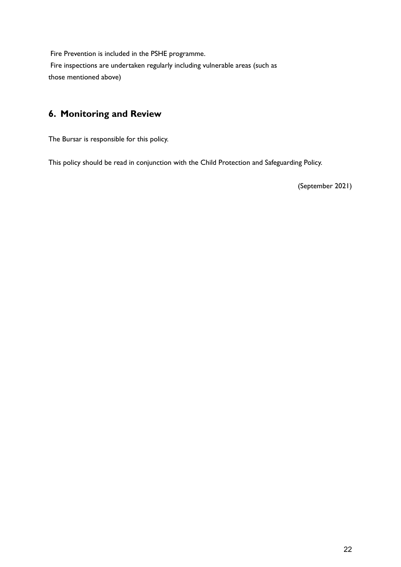Fire Prevention is included in the PSHE programme. Fire inspections are undertaken regularly including vulnerable areas (such as those mentioned above)

## **6. Monitoring and Review**

The Bursar is responsible for this policy.

This policy should be read in conjunction with the Child Protection and Safeguarding Policy.

(September 2021)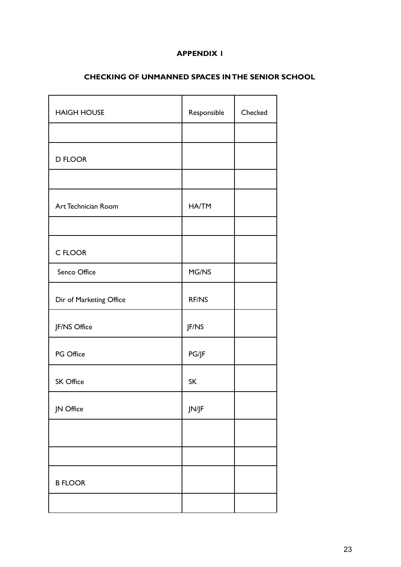## **APPENDIX 1**

## **CHECKING OF UNMANNED SPACES INTHE SENIOR SCHOOL**

| <b>HAIGH HOUSE</b>      | Responsible     | Checked |
|-------------------------|-----------------|---------|
|                         |                 |         |
| <b>D FLOOR</b>          |                 |         |
|                         |                 |         |
| Art Technician Room     | <b>HA/TM</b>    |         |
|                         |                 |         |
| C FLOOR                 |                 |         |
| Senco Office            | MG/NS           |         |
| Dir of Marketing Office | RF/NS           |         |
| JF/NS Office            | JF/NS           |         |
| PG Office               | PG/IF           |         |
| SK Office               | <b>SK</b>       |         |
| JN Office               | $\sf JN/\sf JF$ |         |
|                         |                 |         |
|                         |                 |         |
| <b>B FLOOR</b>          |                 |         |
|                         |                 |         |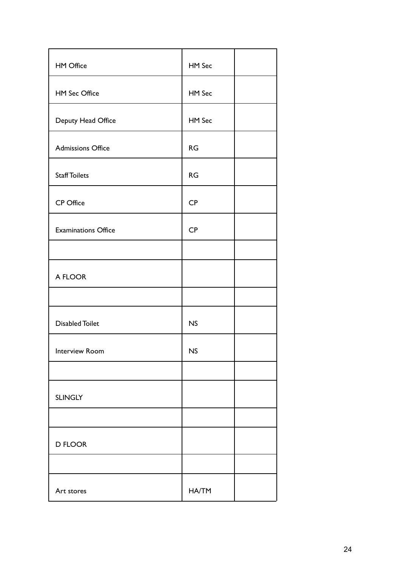| <b>HM Office</b>           | <b>HM Sec</b> |  |
|----------------------------|---------------|--|
| <b>HM Sec Office</b>       | <b>HM Sec</b> |  |
| Deputy Head Office         | HM Sec        |  |
| <b>Admissions Office</b>   | RG            |  |
| <b>Staff Toilets</b>       | RG            |  |
| CP Office                  | CP            |  |
| <b>Examinations Office</b> | CP            |  |
|                            |               |  |
| A FLOOR                    |               |  |
|                            |               |  |
| <b>Disabled Toilet</b>     | NS            |  |
| <b>Interview Room</b>      | NS            |  |
|                            |               |  |
| <b>SLINGLY</b>             |               |  |
|                            |               |  |
| <b>D FLOOR</b>             |               |  |
|                            |               |  |
| Art stores                 | HA/TM         |  |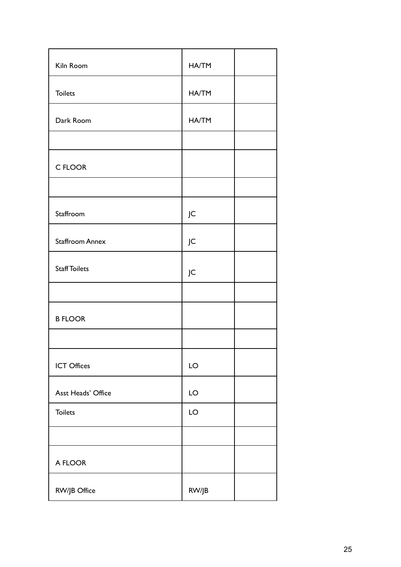| Kiln Room              | HA/TM                  |  |
|------------------------|------------------------|--|
| <b>Toilets</b>         | HA/TM                  |  |
| Dark Room              | HA/TM                  |  |
|                        |                        |  |
| C FLOOR                |                        |  |
|                        |                        |  |
| Staffroom              | $\mathsf{J}\mathsf{C}$ |  |
| <b>Staffroom Annex</b> | JC                     |  |
| <b>Staff Toilets</b>   | JC                     |  |
|                        |                        |  |
| <b>B FLOOR</b>         |                        |  |
|                        |                        |  |
| <b>ICT Offices</b>     | LO                     |  |
| Asst Heads' Office     | LO                     |  |
| <b>Toilets</b>         | LO                     |  |
|                        |                        |  |
| A FLOOR                |                        |  |
| RW/JB Office           | RW/JB                  |  |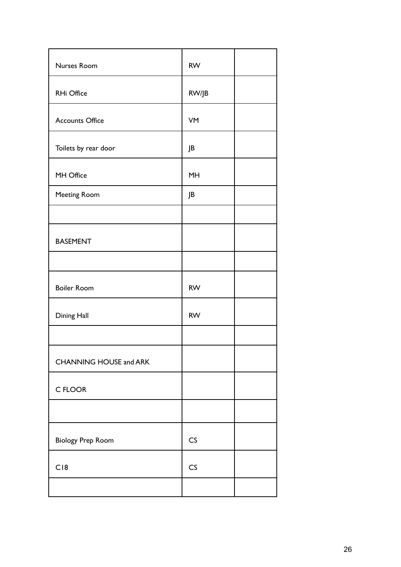| Nurses Room                   | <b>RW</b> |  |
|-------------------------------|-----------|--|
| RHi Office                    | RW/JB     |  |
| <b>Accounts Office</b>        | VM        |  |
| Toilets by rear door          | JB        |  |
| MH Office                     | MH        |  |
| <b>Meeting Room</b>           | JB        |  |
|                               |           |  |
| <b>BASEMENT</b>               |           |  |
|                               |           |  |
| <b>Boiler Room</b>            | <b>RW</b> |  |
| Dining Hall                   | <b>RW</b> |  |
|                               |           |  |
| <b>CHANNING HOUSE and ARK</b> |           |  |
| C FLOOR                       |           |  |
|                               |           |  |
| <b>Biology Prep Room</b>      | CS        |  |
| C18                           | CS        |  |
|                               |           |  |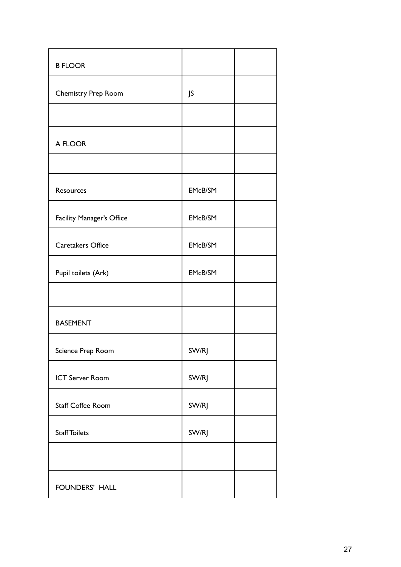| <b>B FLOOR</b>            |         |  |
|---------------------------|---------|--|
| Chemistry Prep Room       | JS      |  |
|                           |         |  |
| A FLOOR                   |         |  |
|                           |         |  |
| Resources                 | EMcB/SM |  |
| Facility Manager's Office | EMcB/SM |  |
| <b>Caretakers Office</b>  | EMcB/SM |  |
| Pupil toilets (Ark)       | EMcB/SM |  |
|                           |         |  |
| <b>BASEMENT</b>           |         |  |
| Science Prep Room         | SW/RJ   |  |
| <b>ICT Server Room</b>    | SW/RJ   |  |
| <b>Staff Coffee Room</b>  | SW/RJ   |  |
| <b>Staff Toilets</b>      | SW/RJ   |  |
|                           |         |  |
| FOUNDERS' HALL            |         |  |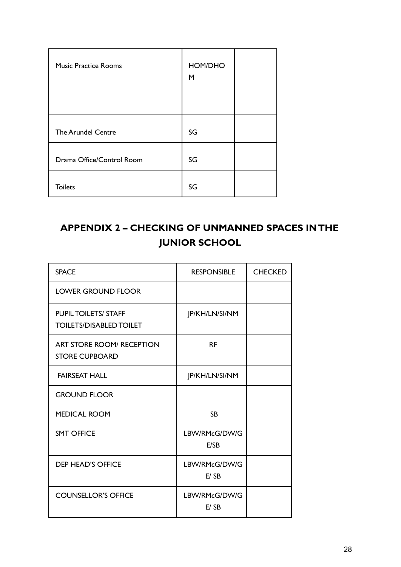| <b>Music Practice Rooms</b> | HOM/DHO<br>M |  |
|-----------------------------|--------------|--|
|                             |              |  |
| The Arundel Centre          | SG           |  |
| Drama Office/Control Room   | SG           |  |
| <b>Toilets</b>              | SG           |  |

## **APPENDIX 2 – CHECKING OF UNMANNED SPACES INTHE JUNIOR SCHOOL**

| <b>SPACE</b>                                                  | <b>RESPONSIBLE</b>    | <b>CHECKED</b> |
|---------------------------------------------------------------|-----------------------|----------------|
| <b>LOWER GROUND FLOOR</b>                                     |                       |                |
| <b>PUPIL TOILETS/ STAFF</b><br><b>TOILETS/DISABLED TOILET</b> | JP/KH/LN/SI/NM        |                |
| ART STORE ROOM/ RECEPTION<br><b>STORE CUPBOARD</b>            | <b>RF</b>             |                |
| <b>FAIRSEAT HALL</b>                                          | JP/KH/LN/SI/NM        |                |
| <b>GROUND FLOOR</b>                                           |                       |                |
| <b>MEDICAL ROOM</b>                                           | <b>SB</b>             |                |
| <b>SMT OFFICE</b>                                             | LBW/RMcG/DW/G<br>E/SB |                |
| <b>DEP HEAD'S OFFICE</b>                                      | LBW/RMcG/DW/G<br>E/SB |                |
| <b>COUNSELLOR'S OFFICE</b>                                    | LBW/RMcG/DW/G<br>E/SB |                |